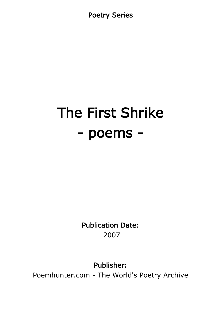Poetry Series

# The First Shrike - poems -

Publication Date: 2007

Publisher:

Poemhunter.com - The World's Poetry Archive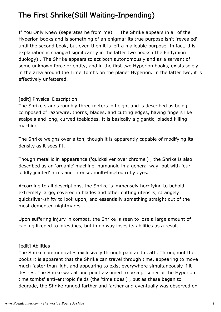# The First Shrike(Still Waiting-Inpending)

If You Only Knew (seperates he from me) The Shrike appears in all of the Hyperion books and is something of an enigma; its true purpose isn't 'revealed' until the second book, but even then it is left a malleable purpose. In fact, this explanation is changed significantly in the latter two books (The Endymion duology) . The Shrike appears to act both autonomously and as a servant of some unknown force or entity, and in the first two Hyperion books, exists solely in the area around the Time Tombs on the planet Hyperion. In the latter two, it is effectively unfettered.

#### [edit] Physical Description

The Shrike stands roughly three meters in height and is described as being composed of razorwire, thorns, blades, and cutting edges, having fingers like scalpels and long, curved toeblades. It is basically a gigantic, bladed killing machine.

The Shrike weighs over a ton, though it is apparently capable of modifying its density as it sees fit.

Though metallic in appearance ('quicksilver over chrome') , the Shrike is also described as an 'organic' machine, humanoid in a general way, but with four 'oddly jointed' arms and intense, multi-faceted ruby eyes.

According to all descriptions, the Shrike is immensely horrifying to behold, extremely large, covered in blades and other cutting utensils, strangely quicksilver-shifty to look upon, and essentially something straight out of the most demented nightmares.

Upon suffering injury in combat, the Shrike is seen to lose a large amount of cabling likened to intestines, but in no way loses its abilities as a result.

#### [edit] Abilities

The Shrike communicates exclusively through pain and death. Throughout the books it is apparent that the Shrike can travel through time, appearing to move much faster than light and appearing to exist everywhere simultaneously if it desires. The Shrike was at one point assumed to be a prisoner of the Hyperion time tombs' anti-entropic fields (the 'time tides') , but as these began to degrade, the Shrike ranged farther and farther and eventually was observed on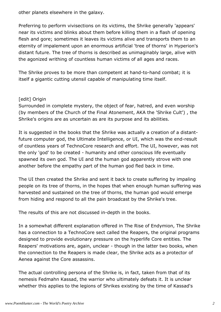other planets elsewhere in the galaxy.

Preferring to perform vivisections on its victims, the Shrike generally 'appears' near its victims and blinks about them before killing them in a flash of opening flesh and gore; sometimes it leaves its victims alive and transports them to an eternity of impalement upon an enormous artificial 'tree of thorns' in Hyperion's distant future. The tree of thorns is described as unimaginably large, alive with the agonized writhing of countless human victims of all ages and races.

The Shrike proves to be more than competent at hand-to-hand combat; it is itself a gigantic cutting utensil capable of manipulating time itself.

#### [edit] Origin

Surrounded in complete mystery, the object of fear, hatred, and even worship (by members of the Church of the Final Atonement, AKA the 'Shrike Cult') , the Shrike's origins are as uncertain as are its purpose and its abilities.

It is suggested in the books that the Shrike was actually a creation of a distantfuture computer god, the Ultimate Intelligence, or UI, which was the end-result of countless years of TechnoCore research and effort. The UI, however, was not the only 'god' to be created - humanity and other conscious life eventually spawned its own god. The UI and the human god apparently strove with one another before the empathy part of the human god fled back in time.

The UI then created the Shrike and sent it back to create suffering by impaling people on its tree of thorns, in the hopes that when enough human suffering was harvested and sustained on the tree of thorns, the human god would emerge from hiding and respond to all the pain broadcast by the Shrike's tree.

The results of this are not discussed in-depth in the books.

In a somewhat different explanation offered in The Rise of Endymion, The Shrike has a connection to a TechnoCore sect called the Reapers, the original programs designed to provide evolutionary pressure on the hyperlife Core entities. The Reapers' motivations are, again, unclear - though in the latter two books, when the connection to the Reapers is made clear, the Shrike acts as a protector of Aenea against the Core assassins.

The actual controlling persona of the Shrike is, in fact, taken from that of its nemesis Fedmahn Kassad, the warrior who ultimately defeats it. It is unclear whether this applies to the legions of Shrikes existing by the time of Kassad's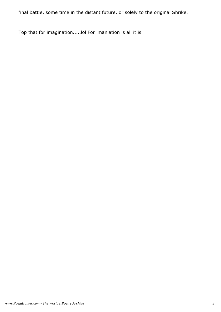final battle, some time in the distant future, or solely to the original Shrike.

Top that for imagination.....lol For imaniation is all it is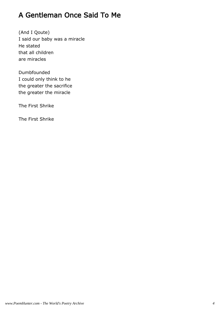# A Gentleman Once Said To Me

(And I Qoute) I said our baby was a miracle He stated that all children are miracles

Dumbfounded I could only think to he the greater the sacrifice the greater the miracle

The First Shrike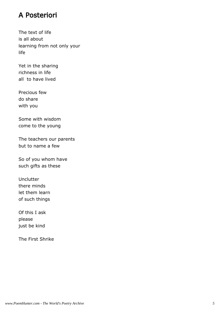## A Posteriori

The text of life is all about learning from not only your life

Yet in the sharing richness in life all to have lived

Precious few do share with you

Some with wisdom come to the young

The teachers our parents but to name a few

So of you whom have such gifts as these

**Unclutter** there minds let them learn of such things

Of this I ask please just be kind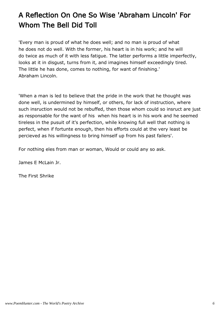# A Reflection On One So Wise 'Abraham Lincoln' For Whom The Bell Did Toll

'Every man is proud of what he does well; and no man is proud of what he does not do well. With the former, his heart is in his work; and he will do twice as much of it with less fatigue. The latter performs a little imperfectly, looks at it in disgust, turns from it, and imagines himself exceedingly tired. The little he has done, comes to nothing, for want of finishing.' Abraham Lincoln.

'When a man is led to believe that the pride in the work that he thought was done well, is undermined by himself, or others, for lack of instruction, where such insruction would not be rebuffed, then those whom could so insruct are just as responsable for the want of his when his heart is in his work and he seemed tireless in the pusuit of it's perfection, while knowing full well that nothing is perfect, when if fortunte enough, then his efforts could at the very least be percieved as his willingness to bring himself up from his past failers'.

For nothing eles from man or woman, Would or could any so ask.

James E McLain Jr.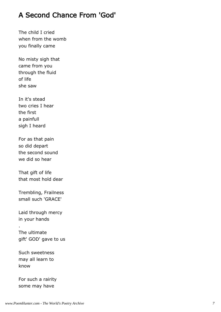# A Second Chance From 'God'

The child I cried when from the womb you finally came

No misty sigh that came from you through the fluid of life she saw

In it's stead two cries I hear the first a painfull sigh I heard

For as that pain so did depart the second sound we did so hear

That gift of life that most hold dear

Trembling, Frailness small such 'GRACE'

Laid through mercy in your hands

.

The ultimate gift' GOD' gave to us

Such sweetness may all learn to know

For such a rairity some may have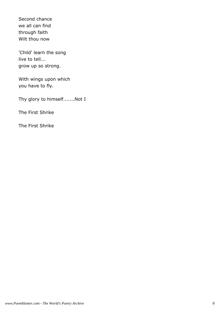Second chance we all can find through faith Wilt thou now

'Child' learn the song live to tell... grow up so strong.

With wings upon which you have to fly.

Thy glory to himself.......Not I

The First Shrike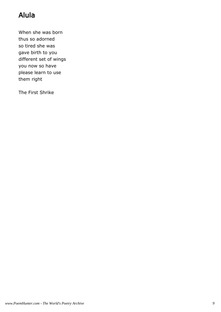# Alula

When she was born thus so adorned so tired she was gave birth to you different set of wings you now so have please learn to use them right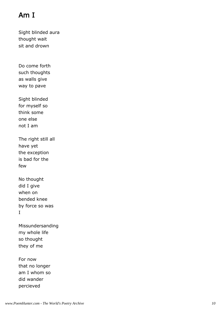# Am I

Sight blinded aura thought wait sit and drown

Do come forth such thoughts as walls give way to pave

Sight blinded for myself so think some one else not I am

The right still all have yet the exception is bad for the few

No thought did I give when on bended knee by force so was I

Missundersanding my whole life so thought they of me

For now that no longer am I whom so did wander percieved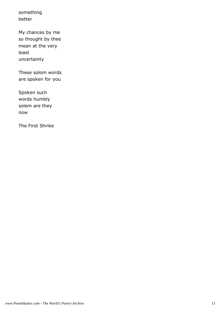something better

My chances by me so thought by thee mean at the very least uncertainty

These solom words are spoken for you

Spoken such words humbly solem are they now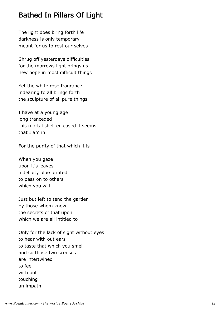# Bathed In Pillars Of Light

The light does bring forth life darkness is only temporary meant for us to rest our selves

Shrug off yesterdays difficulties for the morrows light brings us new hope in most difficult things

Yet the white rose fragrance indearing to all brings forth the sculpture of all pure things

I have at a young age long tranceded this mortal shell en cased it seems that I am in

For the purity of that which it is

When you gaze upon it's leaves indelibity blue printed to pass on to others which you will

Just but left to tend the garden by those whom know the secrets of that upon which we are all intitled to

Only for the lack of sight without eyes to hear with out ears to taste that which you smell and so those two scenses are intertwined to feel with out touching an impath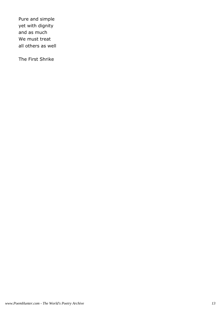Pure and simple yet with dignity and as much We must treat all others as well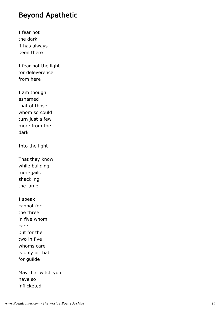# Beyond Apathetic

I fear not the dark it has always been there

I fear not the light for deleverence from here

I am though ashamed that of those whom so could turn just a few more from the dark

Into the light

That they know while building more jails shackling the lame

I speak cannot for the three in five whom care but for the two in five whoms care is only of that for guilde

May that witch you have so inflicketed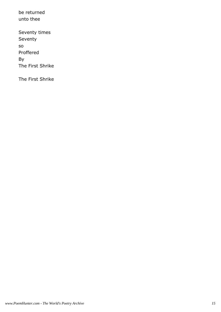be returned unto thee Seventy times

Seventy

so

Proffered

By

The First Shrike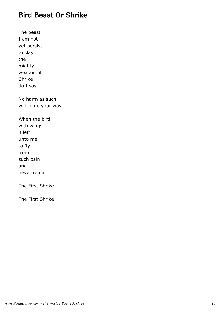# Bird Beast Or Shrike

The beast I am not yet persist to slay the mighty weapon of Shrike do I say No harm as such will come your way When the bird with wings if left unto me to fly from such pain and never remain The First Shrike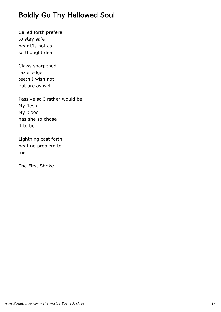# Boldly Go Thy Hallowed Soul

Called forth prefere to stay safe hear t'is not as so thought dear

Claws sharpened razor edge teeth I wish not but are as well

Passive so I rather would be My flesh My blood has she so chose it to be

Lightning cast forth heat no problem to me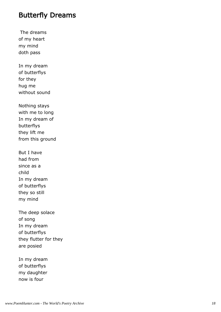#### Butterfly Dreams

 The dreams of my heart my mind doth pass

In my dream of butterflys for they hug me without sound

Nothing stays with me to long In my dream of butterflys they lift me from this ground

But I have had from since as a child In my dream of butterflys they so still my mind

The deep solace of song In my dream of butterflys they flutter for they are posied

In my dream of butterflys my daughter now is four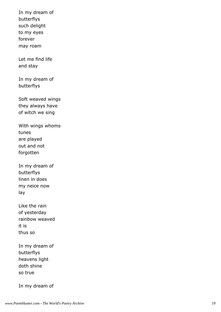In my dream of butterflys such delight to my eyes forever may roam

Let me find life and stay

In my dream of butterflys

Soft weaved wings they always have of witch we sing

With wings whoms tunes are played out and not forgotten

In my dream of butterflys linen in does my neice now lay

Like the rain of yesterday rainbow weaved it is thus so

In my dream of butterflys heavens light doth shine so true

In my dream of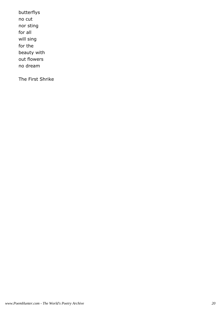butterflys no cut nor sting for all will sing for the beauty with out flowers no dream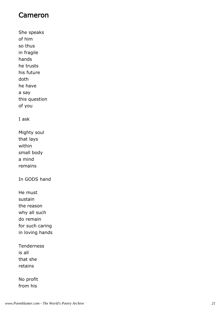## Cameron

She speaks of him so thus in fragile hands he trusts his future doth he have a say this question of you

#### I ask

Mighty soul that lays within small body a mind remains

In GODS hand

He must sustain the reason why all such do remain for such caring in loving hands

Tenderness is all that she retains

No profit from his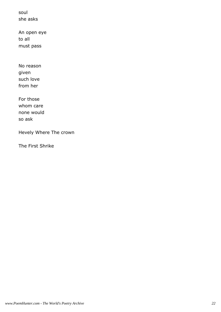soul she asks

An open eye to all must pass

No reason given such love from her

For those whom care none would so ask

Hevely Where The crown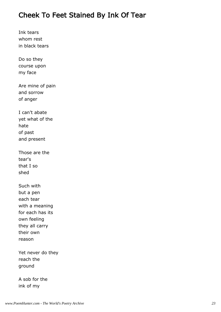# Cheek To Feet Stained By Ink Of Tear

Ink tears whom rest in black tears

Do so they course upon my face

Are mine of pain and sorrow of anger

I can't abate yet what of the hate of past and present

Those are the tear's that I so shed

Such with but a pen each tear with a meaning for each has its own feeling they all carry their own reason

Yet never do they reach the ground

A sob for the ink of my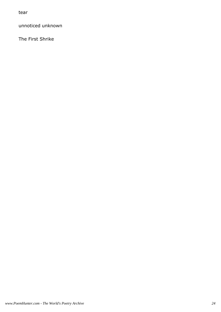tear

unnoticed unknown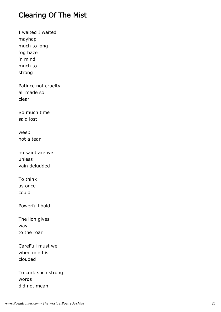# Clearing Of The Mist

I waited I waited mayhap much to long fog haze in mind much to strong Patince not cruelty all made so clear So much time said lost weep not a tear no saint are we unless vain deludded To think as once could Powerfull bold The lion gives way to the roar CareFull must we when mind is clouded

To curb such strong words did not mean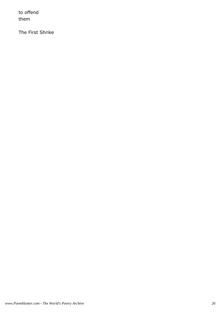to offend them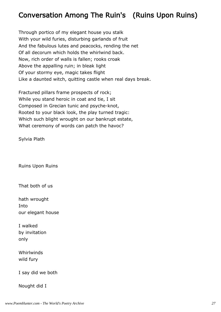# Conversation Among The Ruin's (Ruins Upon Ruins)

Through portico of my elegant house you stalk With your wild furies, disturbing garlands of fruit And the fabulous lutes and peacocks, rending the net Of all decorum which holds the whirlwind back. Now, rich order of walls is fallen; rooks croak Above the appalling ruin; in bleak light Of your stormy eye, magic takes flight Like a daunted witch, quitting castle when real days break.

Fractured pillars frame prospects of rock; While you stand heroic in coat and tie, I sit Composed in Grecian tunic and psyche-knot, Rooted to your black look, the play turned tragic: Which such blight wrought on our bankrupt estate, What ceremony of words can patch the havoc?

Sylvia Plath

Ruins Upon Ruins

That both of us

hath wrought **Into** our elegant house

I walked by invitation only

Whirlwinds wild fury

I say did we both

Nought did I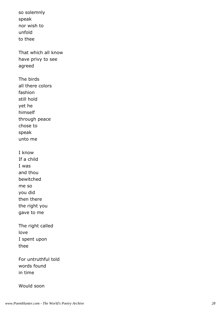so solemnly speak nor wish to unfold to thee That which all know have privy to see agreed The birds all there colors fashion still hold yet he himself through peace chose to speak unto me I know If a child I was and thou bewitched me so you did then there the right you gave to me The right called love I spent upon thee For untruthful told words found in time

#### Would soon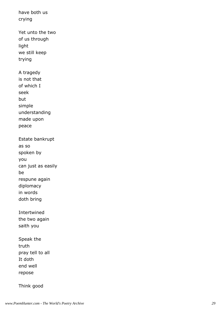have both us crying Yet unto the two of us through light we still keep trying A tragedy is not that of which I seek but simple understanding made upon peace Estate bankrupt as so spoken by you can just as easily be respune again diplomacy in words doth bring Intertwined the two again saith you Speak the truth pray tell to all It doth end well repose

Think good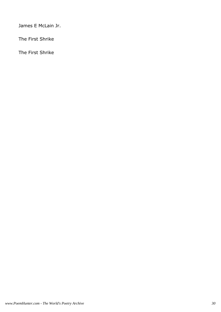James E McLain Jr.

The First Shrike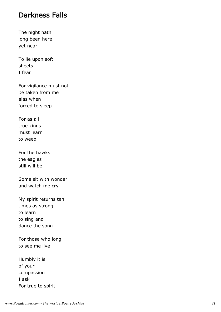## Darkness Falls

The night hath long been here yet near

To lie upon soft sheets I fear

For vigilance must not be taken from me alas when forced to sleep

For as all true kings must learn to weep

For the hawks the eagles still will be

Some sit with wonder and watch me cry

My spirit returns ten times as strong to learn to sing and dance the song

For those who long to see me live

Humbly it is of your compassion I ask For true to spirit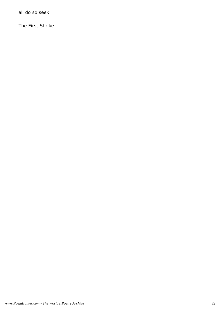all do so seek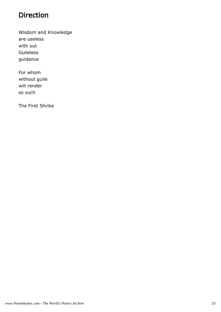# Direction

Wisdom and Knowledge are useless with out Guileless guidance

For whom without guile will render so such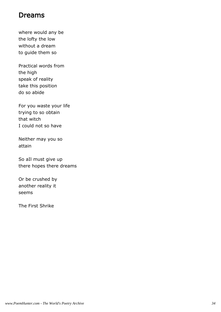## Dreams

where would any be the lofty the low without a dream to guide them so

Practical words from the high speak of reality take this position do so abide

For you waste your life trying to so obtain that witch I could not so have

Neither may you so attain

So aIl must give up there hopes there dreams

Or be crushed by another reality it seems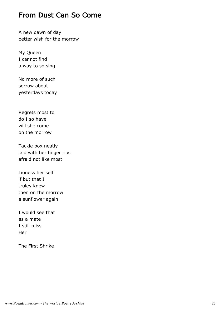## From Dust Can So Come

A new dawn of day better wish for the morrow

My Queen I cannot find a way to so sing

No more of such sorrow about yesterdays today

Regrets most to do I so have will she come on the morrow

Tackle box neatly laid with her finger tips afraid not like most

Lioness her self if but that I truley knew then on the morrow a sunflower again

I would see that as a mate I still miss **Her**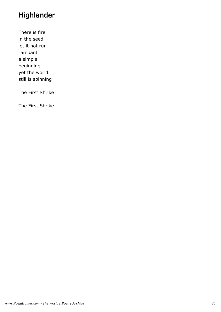# Highlander

There is fire in the seed let it not run rampant a simple beginning yet the world still is spinning

The First Shrike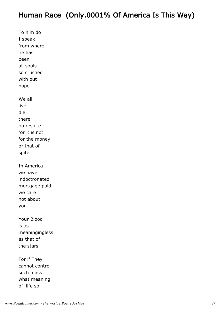# Human Race (Only.0001% Of America Is This Way)

To him do I speak from where he has been all souls so crushed with out hope We all live die there no respite for it is not for the money or that of spite In America we have indoctronated mortgage paid we care not about you Your Blood is as meaningingless as that of the stars For if They cannot control such mass

what meaning

of life so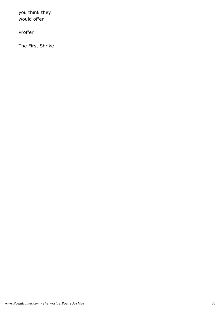you think they would offer

Proffer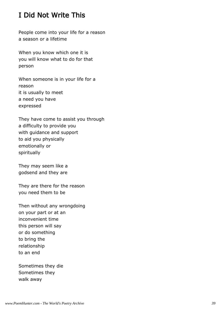# I Did Not Write This

People come into your life for a reason a season or a lifetime

When you know which one it is you will know what to do for that person

When someone is in your life for a reason it is usually to meet a need you have expressed

They have come to assist you through a difficulty to provide you with guidance and support to aid you physically emotionally or spiritually

They may seem like a godsend and they are

They are there for the reason you need them to be

Then without any wrongdoing on your part or at an inconvenient time this person will say or do something to bring the relationship to an end

Sometimes they die Sometimes they walk away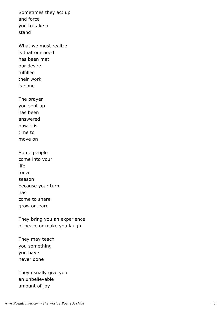Sometimes they act up and force you to take a stand

What we must realize is that our need has been met our desire fulfilled their work is done

The prayer you sent up has been answered now it is time to move on

Some people come into your life for a season because your turn has come to share grow or learn

They bring you an experience of peace or make you laugh

They may teach you something you have never done

They usually give you an unbelievable amount of joy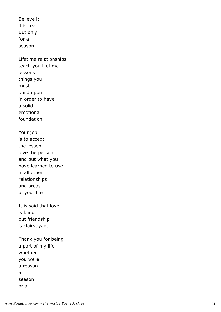Believe it it is real But only for a season

Lifetime relationships teach you lifetime lessons things you must build upon in order to have a solid emotional foundation

Your job is to accept the lesson love the person and put what you have learned to use in all other relationships and areas of your life

It is said that love is blind but friendship is clairvoyant.

Thank you for being a part of my life whether you were a reason a season or a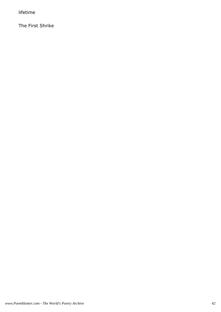lifetime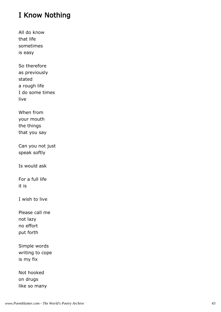# I Know Nothing

All do know that life sometimes is easy

So therefore as previously stated a rough life I do some times live

When from your mouth the things that you say

Can you not just speak softly

Is would ask

For a full life it is

I wish to live

Please call me not lazy no effort put forth

Simple words writing to cope is my fix

Not hooked on drugs like so many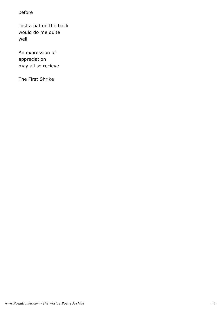#### before

Just a pat on the back would do me quite well

An expression of appreciation may all so recieve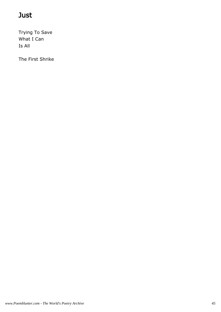# Just

Trying To Save What I Can Is All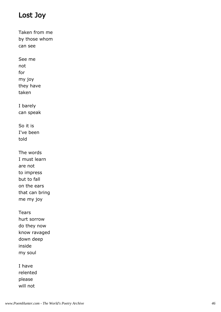# Lost Joy

Taken from me by those whom can see See me not for my joy they have taken I barely can speak So it is I've been told The words I must learn are not to impress but to fall on the ears that can bring me my joy Tears hurt sorrow do they now know ravaged down deep inside my soul I have relented please

will not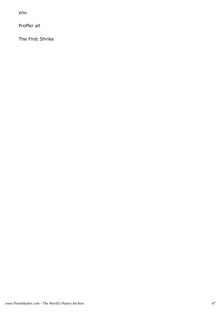you

Proffer all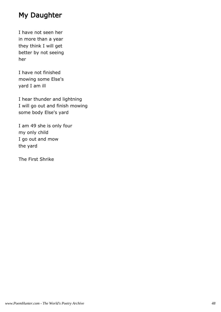# My Daughter

I have not seen her in more than a year they think I will get better by not seeing her

I have not finished mowing some Else's yard I am ill

I hear thunder and lightning I will go out and finish mowing some body Else's yard

I am 49 she is only four my only child I go out and mow the yard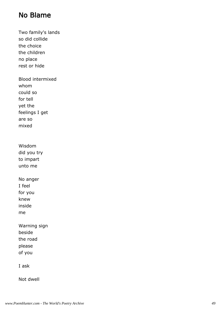## No Blame

Two family's lands so did collide the choice the children no place rest or hide Blood intermixed whom could so for tell yet the feelings I get are so mixed Wisdom did you try to impart unto me No anger I feel for you knew inside me Warning sign beside the road please of you I ask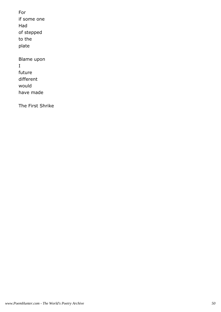For if some one Had of stepped to the plate

Blame upon I future different would have made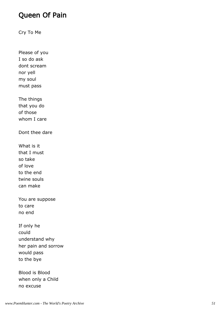### Queen Of Pain

Cry To Me

Please of you I so do ask dont scream nor yell my soul must pass

The things that you do of those whom I care

Dont thee dare

What is it that I must so take of love to the end twine souls can make

You are suppose to care no end

If only he could understand why her pain and sorrow would pass to the bye

Blood is Blood when only a Child no excuse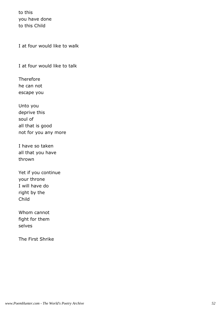to this you have done to this Child

I at four would like to walk

I at four would like to talk

Therefore he can not escape you

Unto you deprive this soul of all that is good not for you any more

I have so taken all that you have thrown

Yet if you continue your throne I will have do right by the Child

Whom cannot fight for them selves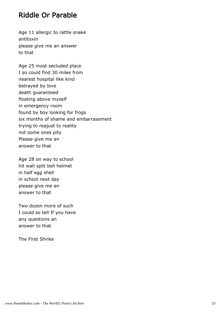### Riddle Or Parable

Age 11 allergic to rattle snake antitoxin please give me an answer to that

Age 25 most secluded place I so could find 30 miles from nearest hospital like kind betrayed by love death guaranteed floating above myself in emergency room found by boy looking for frogs six months of shame and embarrassment trying to reajust to reality not some ones pity Please give me an answer to that

Age 28 on way to school hit wall split bell helmet in half egg shell in school next day please give me an answer to that

Two dozen more of such I could so tell If you have any questions an answer to that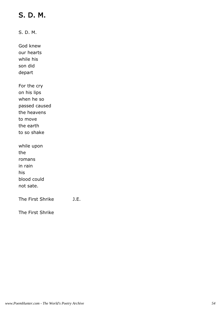# S. D. M.

S. D. M.

God knew our hearts while his son did depart

For the cry on his lips when he so passed caused the heavens to move the earth to so shake

while upon the romans in rain his blood could not sate.

The First Shrike J.E.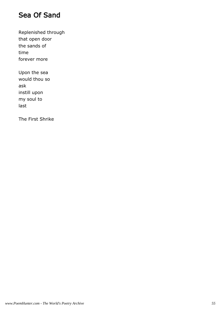## Sea Of Sand

Replenished through that open door the sands of time forever more

Upon the sea would thou so ask instill upon my soul to last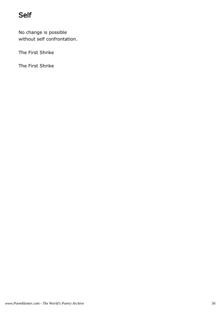# Self

No change is possible without self confrontation.

The First Shrike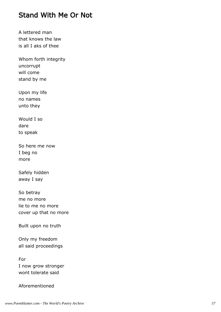#### Stand With Me Or Not

A lettered man that knows the law is all I aks of thee

Whom forth integrity uncorrupt will come stand by me

Upon my life no names unto they

Would I so dare to speak

So here me now I beg no more

Safely hidden away I say

So betray me no more lie to me no more cover up that no more

Built upon no truth

Only my freedom all said proceedings

For I now grow stronger wont tolerate said

Aforementioned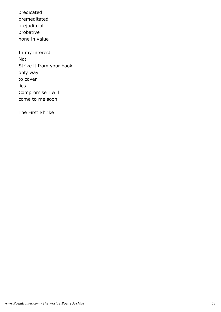predicated premeditated prejuditcial probative none in value

In my interest Not Strike it from your book only way to cover lies Compromise I will come to me soon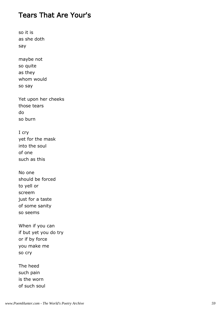#### Tears That Are Your's

so it is as she doth say

maybe not so quite as they whom would so say

Yet upon her cheeks those tears do so burn

I cry yet for the mask into the soul of one such as this

No one should be forced to yell or screem just for a taste of some sanity so seems

When if you can if but yet you do try or if by force you make me so cry

The heed such pain is the worn of such soul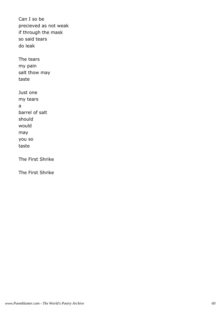Can I so be precieved as not weak if through the mask so said tears do leak The tears my pain salt thow may taste Just one

my tears a barrel of salt should would may you so taste

The First Shrike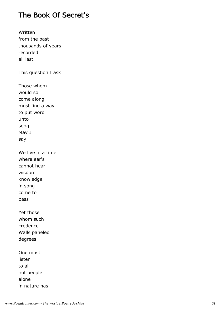## The Book Of Secret's

Written from the past thousands of years recorded all last.

This question I ask

Those whom would so come along must find a way to put word unto song. May I say

We live in a time where ear's cannot hear wisdom knowledge in song come to pass

Yet those whom such credence Walls paneled degrees

One must listen to all not people alone in nature has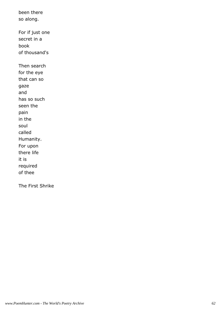been there so along. For if just one secret in a book of thousand's Then search for the eye that can so gaze and has so such seen the pain in the soul called Humanity. For upon there life it is required of thee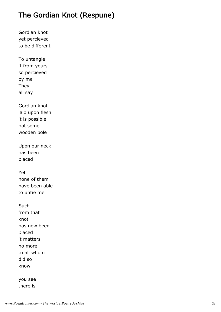## The Gordian Knot (Respune)

Gordian knot yet percieved to be different

To untangle it from yours so percieved by me They all say

Gordian knot laid upon flesh it is possible not some wooden pole

Upon our neck has been placed

Yet none of them have been able to untie me

**Such** from that knot has now been placed it matters no more to all whom did so know

you see there is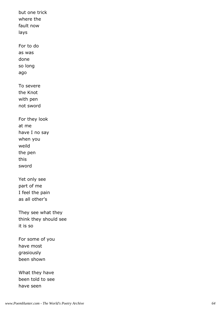but one trick where the fault now lays For to do as was done so long ago To severe the Knot with pen not sword For they look at me have I no say when you weild the pen this sword Yet only see part of me I feel the pain as all other's They see what they think they should see it is so For some of you What they have

have most grasiously been shown

been told to see have seen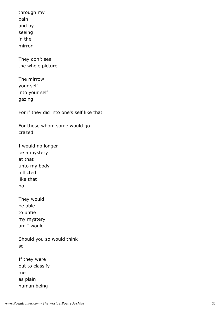through my pain and by seeing in the mirror

They don't see the whole picture

The mirrow your self into your self gazing

For if they did into one's self like that

For those whom some would go crazed

I would no longer be a mystery at that unto my body inflicted like that no

They would be able to untie my mystery am I would

Should you so would think so

| If they were    |
|-----------------|
| but to classify |
| me              |
| as plain        |
| human being     |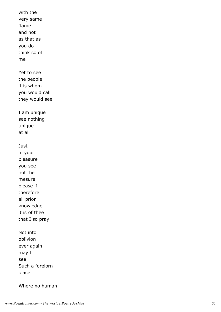with the very same flame and not as that as you do think so of me Yet to see the people it is whom you would call they would see I am unique see nothing unigue at all **Just** in your pleasure you see not the mesure please if therefore all prior knowledge it is of thee that I so pray Not into oblivion ever again may I see Such a forelorn place

Where no human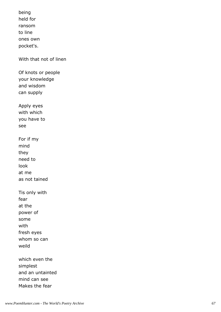being held for ransom to line ones own pocket's. With that not of linen Of knots or people your knowledge and wisdom can supply Apply eyes with which you have to see For if my mind they need to look at me as not tained Tis only with fear at the power of some with fresh eyes whom so can weild which even the

simplest and an untainted mind can see Makes the fear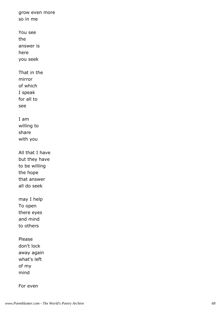grow even more so in me You see the answer is here you seek That in the mirror of which I speak for all to see I am willing to share with you All that I have but they have to be willing the hope that answer all do seek may I help To open there eyes and mind to others Please don't lock away again what's left of my mind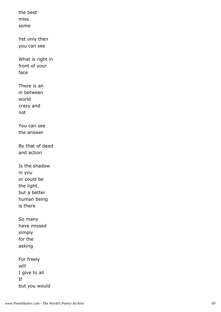the best miss some Yet only then you can see What is right in front of your face There is an in between world crazy and not You can see the answer By that of deed and action Is the shadow in you or could be the light. but a better human being is there So many have missed simply for the asking For freely will I give to all If but you would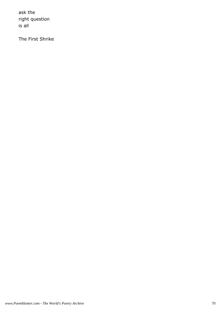ask the right question is all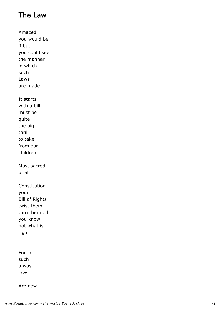# The Law

Amazed you would be if but you could see the manner in which such Laws are made It starts with a bill must be quite the big thrill to take from our children Most sacred of all Constitution your Bill of Rights twist them turn them till you know not what is right For in such a way

Are now

laws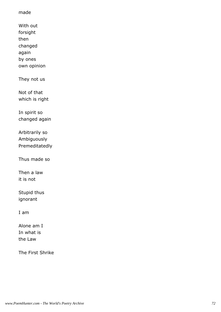#### made

- With out forsight then changed
- again by ones
- own opinion

They not us

Not of that which is right

In spirit so changed again

Arbitrarily so Ambiguously Premeditatedly

Thus made so

Then a law it is not

Stupid thus ignorant

I am

Alone am I In what is the Law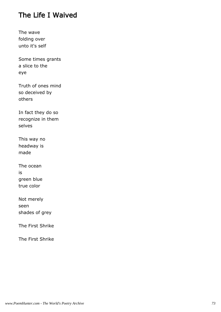## The Life I Waived

The wave folding over unto it's self

Some times grants a slice to the eye

Truth of ones mind so deceived by others

In fact they do so recognize in them selves

This way no headway is made

The ocean is green blue true color

Not merely seen shades of grey

The First Shrike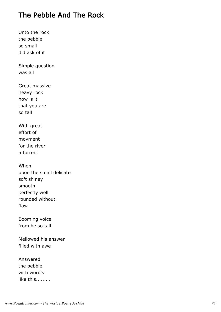# The Pebble And The Rock

Unto the rock the pebble so small did ask of it

Simple question was all

Great massive heavy rock how is it that you are so tall

With great effort of movment for the river a torrent

When upon the small delicate soft shiney smooth perfectly well rounded without flaw

Booming voice from he so tall

Mellowed his answer filled with awe

Answered the pebble with word's like this.........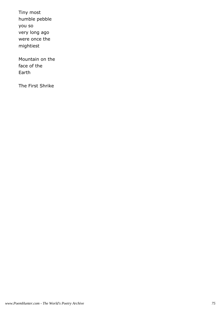Tiny most humble pebble you so very long ago were once the mightiest

Mountain on the face of the Earth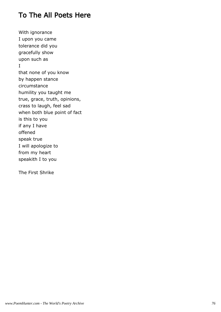## To The All Poets Here

With ignorance I upon you came tolerance did you gracefully show upon such as I that none of you know by happen stance circumstance humility you taught me true, grace, truth, opinions, crass to laugh, feel sad when both blue point of fact is this to you if any I have offened speak true I will apologize to from my heart speakith I to you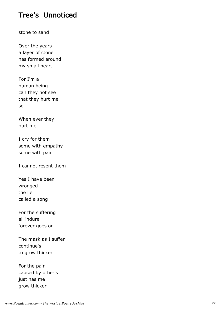### Tree's Unnoticed

stone to sand

Over the years a layer of stone has formed around my small heart

For I'm a human being can they not see that they hurt me so

When ever they hurt me

I cry for them some with empathy some with pain

I cannot resent them

Yes I have been wronged the lie called a song

For the suffering all indure forever goes on.

The mask as I suffer continue's to grow thicker

For the pain caused by other's just has me grow thicker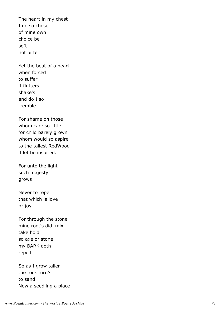The heart in my chest I do so chose of mine own choice be soft not bitter

Yet the beat of a heart when forced to suffer it flutters shake's and do I so tremble.

For shame on those whom care so little for child barely grown whom would so aspire to the tallest RedWood if let be inspired.

For unto the light such majesty grows

Never to repel that which is love or joy

For through the stone mine root's did mix take hold so axe or stone my BARK doth repell

So as I grow taller the rock turn's to sand Now a seedling a place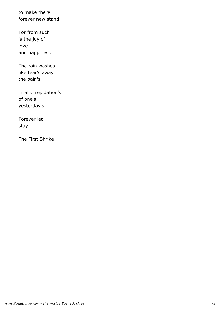to make there forever new stand

For from such is the joy of love and happiness

The rain washes like tear's away the pain's

Trial's trepidation's of one's yesterday's

Forever let stay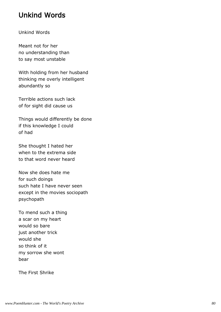## Unkind Words

#### Unkind Words

Meant not for her no understanding than to say most unstable

With holding from her husband thinking me overly intelligent abundantly so

Terrible actions such lack of for sight did cause us

Things would differently be done if this knowledge I could of had

She thought I hated her when to the extrema side to that word never heard

Now she does hate me for such doings such hate I have never seen except in the movies sociopath psychopath

To mend such a thing a scar on my heart would so bare just another trick would she so think of it my sorrow she wont bear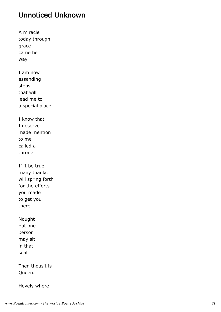## Unnoticed Unknown

A miracle today through grace came her way I am now assending steps that will lead me to a special place I know that I deserve made mention to me called a throne If it be true many thanks will spring forth for the efforts you made to get you there Nought but one person may sit in that seat Then thous't is Queen.

Hevely where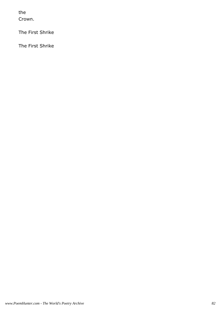the Crown.

The First Shrike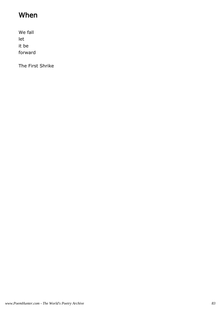# When

We fall let it be forward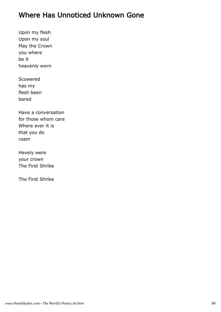### Where Has Unnoticed Unknown Gone

Upon my flesh Upon my soul May the Crown you where be it heavenly worn

Scowered has my flesh been bared

Have a conversation for those whom care Where ever it is that you do roam

Hevely were your crown The First Shrike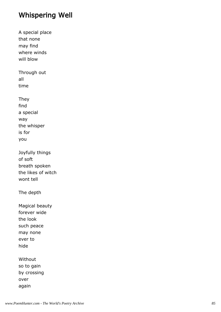## Whispering Well

A special place that none may find where winds will blow Through out all time They find a special way the whisper is for you Joyfully things of soft breath spoken the likes of witch wont tell The depth Magical beauty forever wide the look such peace may none ever to hide Without so to gain by crossing over

again